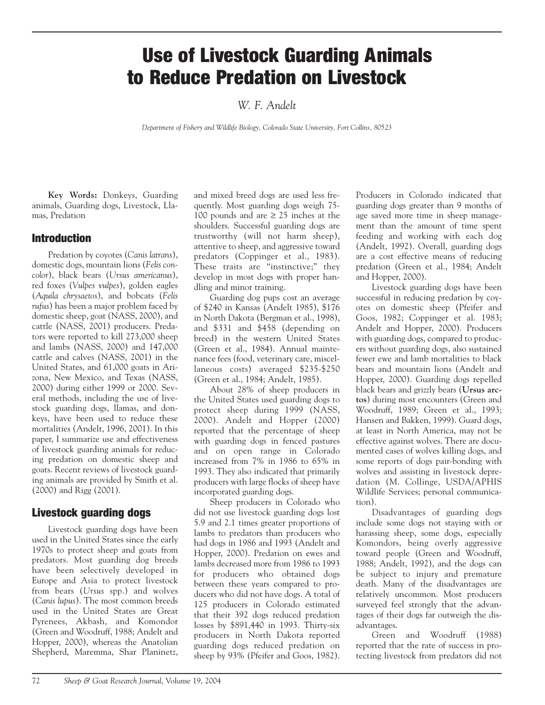# Use of Livestock Guarding Animals to Reduce Predation on Livestock

*W. F. Andelt*

*Department of Fishery and Wildlife Biology, Colorado State University, Fort Collins, 80523*

**Key Words:** Donkeys, Guarding animals, Guarding dogs, Livestock, Llamas, Predation

#### Introduction

Predation by coyotes (*Canis latrans*), domestic dogs, mountain lions (*Felis concolor*), black bears (*Ursus americanus*), red foxes (*Vulpes vulpes*), golden eagles (*Aquila chrysaetos*), and bobcats (*Felis rufus*) has been a major problem faced by domestic sheep, goat (NASS, 2000), and cattle (NASS, 2001) producers. Predators were reported to kill 273,000 sheep and lambs (NASS, 2000) and 147,000 cattle and calves (NASS, 2001) in the United States, and 61,000 goats in Arizona, New Mexico, and Texas (NASS, 2000) during either 1999 or 2000. Several methods, including the use of livestock guarding dogs, llamas, and donkeys, have been used to reduce these mortalities (Andelt, 1996, 2001). In this paper, I summarize use and effectiveness of livestock guarding animals for reducing predation on domestic sheep and goats. Recent reviews of livestock guarding animals are provided by Smith et al. (2000) and Rigg (2001).

## Livestock guarding dogs

Livestock guarding dogs have been used in the United States since the early 1970s to protect sheep and goats from predators. Most guarding dog breeds have been selectively developed in Europe and Asia to protect livestock from bears (*Ursus* spp.) and wolves (*Canis lupus*). The most common breeds used in the United States are Great Pyrenees, Akbash, and Komondor (Green and Woodruff, 1988; Andelt and Hopper, 2000), whereas the Anatolian Shepherd, Maremma, Shar Planinetz, and mixed breed dogs are used less frequently. Most guarding dogs weigh 75- 100 pounds and are ≥ 25 inches at the shoulders. Successful guarding dogs are trustworthy (will not harm sheep), attentive to sheep, and aggressive toward predators (Coppinger et al., 1983). These traits are "instinctive;" they develop in most dogs with proper handling and minor training.

Guarding dog pups cost an average of \$240 in Kansas (Andelt 1985), \$176 in North Dakota (Bergman et al., 1998), and \$331 and \$458 (depending on breed) in the western United States (Green et al., 1984). Annual maintenance fees (food, veterinary care, miscellaneous costs) averaged \$235-\$250 (Green et al., 1984; Andelt, 1985).

About 28% of sheep producers in the United States used guarding dogs to protect sheep during 1999 (NASS, 2000). Andelt and Hopper (2000) reported that the percentage of sheep with guarding dogs in fenced pastures and on open range in Colorado increased from 7% in 1986 to 65% in 1993. They also indicated that primarily producers with large flocks of sheep have incorporated guarding dogs.

Sheep producers in Colorado who did not use livestock guarding dogs lost 5.9 and 2.1 times greater proportions of lambs to predators than producers who had dogs in 1986 and 1993 (Andelt and Hopper, 2000). Predation on ewes and lambs decreased more from 1986 to 1993 for producers who obtained dogs between these years compared to producers who did not have dogs. A total of 125 producers in Colorado estimated that their 392 dogs reduced predation losses by \$891,440 in 1993. Thirty-six producers in North Dakota reported guarding dogs reduced predation on sheep by 93% (Pfeifer and Goos, 1982).

Producers in Colorado indicated that guarding dogs greater than 9 months of age saved more time in sheep management than the amount of time spent feeding and working with each dog (Andelt, 1992). Overall, guarding dogs are a cost effective means of reducing predation (Green et al., 1984; Andelt and Hopper, 2000).

Livestock guarding dogs have been successful in reducing predation by coyotes on domestic sheep (Pfeifer and Goos, 1982; Coppinger et al. 1983; Andelt and Hopper, 2000). Producers with guarding dogs, compared to producers without guarding dogs, also sustained fewer ewe and lamb mortalities to black bears and mountain lions (Andelt and Hopper, 2000). Guarding dogs repelled black bears and grizzly bears (**Ursus arctos**) during most encounters (Green and Woodruff, 1989; Green et al., 1993; Hansen and Bakken, 1999). Guard dogs, at least in North America, may not be effective against wolves. There are documented cases of wolves killing dogs, and some reports of dogs pair-bonding with wolves and assisting in livestock depredation (M. Collinge, USDA/APHIS Wildlife Services; personal communication).

Disadvantages of guarding dogs include some dogs not staying with or harassing sheep, some dogs, especially Komondors, being overly aggressive toward people (Green and Woodruff, 1988; Andelt, 1992), and the dogs can be subject to injury and premature death. Many of the disadvantages are relatively uncommon. Most producers surveyed feel strongly that the advantages of their dogs far outweigh the disadvantages.

Green and Woodruff (1988) reported that the rate of success in protecting livestock from predators did not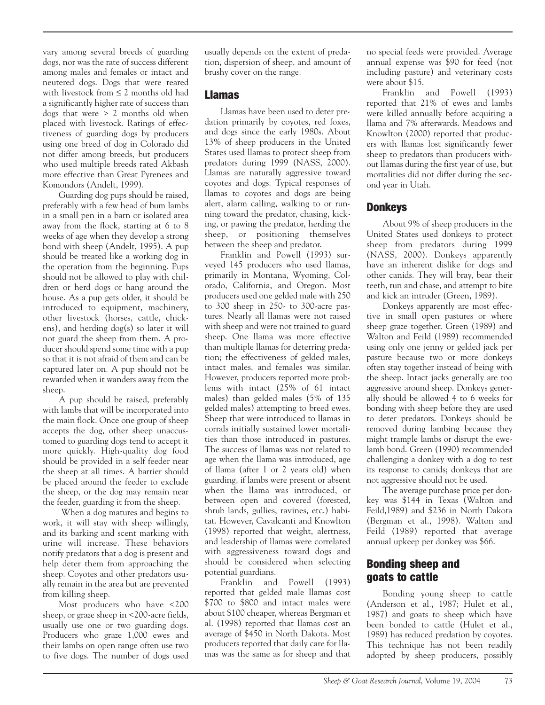vary among several breeds of guarding dogs, nor was the rate of success different among males and females or intact and neutered dogs. Dogs that were reared with livestock from ≤ 2 months old had a significantly higher rate of success than dogs that were > 2 months old when placed with livestock. Ratings of effectiveness of guarding dogs by producers using one breed of dog in Colorado did not differ among breeds, but producers who used multiple breeds rated Akbash more effective than Great Pyrenees and Komondors (Andelt, 1999).

Guarding dog pups should be raised, preferably with a few head of bum lambs in a small pen in a barn or isolated area away from the flock, starting at 6 to 8 weeks of age when they develop a strong bond with sheep (Andelt, 1995). A pup should be treated like a working dog in the operation from the beginning. Pups should not be allowed to play with children or herd dogs or hang around the house. As a pup gets older, it should be introduced to equipment, machinery, other livestock (horses, cattle, chickens), and herding dog(s) so later it will not guard the sheep from them. A producer should spend some time with a pup so that it is not afraid of them and can be captured later on. A pup should not be rewarded when it wanders away from the sheep.

A pup should be raised, preferably with lambs that will be incorporated into the main flock. Once one group of sheep accepts the dog, other sheep unaccustomed to guarding dogs tend to accept it more quickly. High-quality dog food should be provided in a self feeder near the sheep at all times. A barrier should be placed around the feeder to exclude the sheep, or the dog may remain near the feeder, guarding it from the sheep.

When a dog matures and begins to work, it will stay with sheep willingly, and its barking and scent marking with urine will increase. These behaviors notify predators that a dog is present and help deter them from approaching the sheep. Coyotes and other predators usually remain in the area but are prevented from killing sheep.

Most producers who have <200 sheep, or graze sheep in <200-acre fields, usually use one or two guarding dogs. Producers who graze 1,000 ewes and their lambs on open range often use two to five dogs. The number of dogs used

usually depends on the extent of predation, dispersion of sheep, and amount of brushy cover on the range.

#### Llamas

Llamas have been used to deter predation primarily by coyotes, red foxes, and dogs since the early 1980s. About 13% of sheep producers in the United States used llamas to protect sheep from predators during 1999 (NASS, 2000). Llamas are naturally aggressive toward coyotes and dogs. Typical responses of llamas to coyotes and dogs are being alert, alarm calling, walking to or running toward the predator, chasing, kicking, or pawing the predator, herding the sheep, or positioning themselves between the sheep and predator.

Franklin and Powell (1993) surveyed 145 producers who used llamas, primarily in Montana, Wyoming, Colorado, California, and Oregon. Most producers used one gelded male with 250 to 300 sheep in 250- to 300-acre pastures. Nearly all llamas were not raised with sheep and were not trained to guard sheep. One llama was more effective than multiple llamas for deterring predation; the effectiveness of gelded males, intact males, and females was similar. However, producers reported more problems with intact (25% of 61 intact males) than gelded males (5% of 135 gelded males) attempting to breed ewes. Sheep that were introduced to llamas in corrals initially sustained lower mortalities than those introduced in pastures. The success of llamas was not related to age when the llama was introduced, age of llama (after 1 or 2 years old) when guarding, if lambs were present or absent when the llama was introduced, or between open and covered (forested, shrub lands, gullies, ravines, etc.) habitat. However, Cavalcanti and Knowlton (1998) reported that weight, alertness, and leadership of llamas were correlated with aggressiveness toward dogs and should be considered when selecting potential guardians.

Franklin and Powell (1993) reported that gelded male llamas cost \$700 to \$800 and intact males were about \$100 cheaper, whereas Bergman et al. (1998) reported that llamas cost an average of \$450 in North Dakota. Most producers reported that daily care for llamas was the same as for sheep and that

no special feeds were provided. Average annual expense was \$90 for feed (not including pasture) and veterinary costs were about \$15.

Franklin and Powell (1993) reported that 21% of ewes and lambs were killed annually before acquiring a llama and 7% afterwards. Meadows and Knowlton (2000) reported that producers with llamas lost significantly fewer sheep to predators than producers without llamas during the first year of use, but mortalities did not differ during the second year in Utah.

### **Donkeys**

About 9% of sheep producers in the United States used donkeys to protect sheep from predators during 1999 (NASS, 2000). Donkeys apparently have an inherent dislike for dogs and other canids. They will bray, bear their teeth, run and chase, and attempt to bite and kick an intruder (Green, 1989).

Donkeys apparently are most effective in small open pastures or where sheep graze together. Green (1989) and Walton and Feild (1989) recommended using only one jenny or gelded jack per pasture because two or more donkeys often stay together instead of being with the sheep. Intact jacks generally are too aggressive around sheep. Donkeys generally should be allowed 4 to 6 weeks for bonding with sheep before they are used to deter predators. Donkeys should be removed during lambing because they might trample lambs or disrupt the ewelamb bond. Green (1990) recommended challenging a donkey with a dog to test its response to canids; donkeys that are not aggressive should not be used.

The average purchase price per donkey was \$144 in Texas (Walton and Feild,1989) and \$236 in North Dakota (Bergman et al., 1998). Walton and Feild (1989) reported that average annual upkeep per donkey was \$66.

## Bonding sheep and goats to cattle

Bonding young sheep to cattle (Anderson et al., 1987; Hulet et al., 1987) and goats to sheep which have been bonded to cattle (Hulet et al., 1989) has reduced predation by coyotes. This technique has not been readily adopted by sheep producers, possibly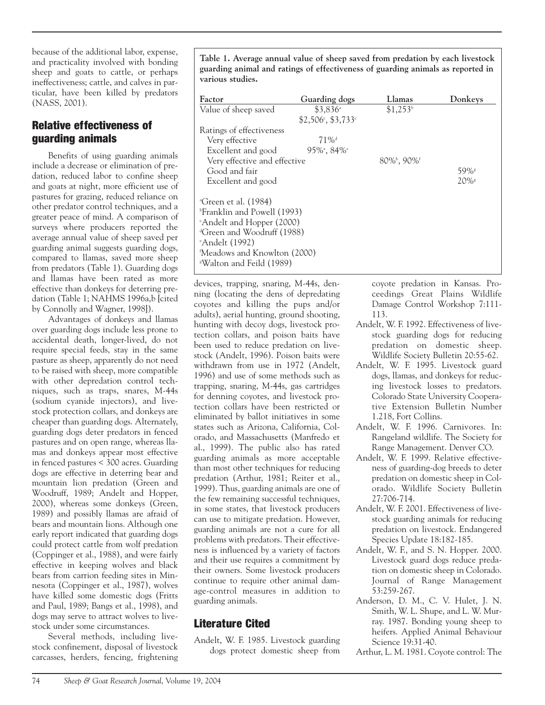because of the additional labor, expense, and practicality involved with bonding sheep and goats to cattle, or perhaps ineffectiveness; cattle, and calves in particular, have been killed by predators (NASS, 2001).

# Relative effectiveness of guarding animals

Benefits of using guarding animals include a decrease or elimination of predation, reduced labor to confine sheep and goats at night, more efficient use of pastures for grazing, reduced reliance on other predator control techniques, and a greater peace of mind. A comparison of surveys where producers reported the average annual value of sheep saved per guarding animal suggests guarding dogs, compared to llamas, saved more sheep from predators (Table 1). Guarding dogs and llamas have been rated as more effective than donkeys for deterring predation (Table 1; NAHMS 1996a,b [cited by Connolly and Wagner, 1998]).

Advantages of donkeys and llamas over guarding dogs include less prone to accidental death, longer-lived, do not require special feeds, stay in the same pasture as sheep, apparently do not need to be raised with sheep, more compatible with other depredation control techniques, such as traps, snares, M-44s (sodium cyanide injectors), and livestock protection collars, and donkeys are cheaper than guarding dogs. Alternately, guarding dogs deter predators in fenced pastures and on open range, whereas llamas and donkeys appear most effective in fenced pastures < 300 acres. Guarding dogs are effective in deterring bear and mountain lion predation (Green and Woodruff, 1989; Andelt and Hopper, 2000), whereas some donkeys (Green, 1989) and possibly llamas are afraid of bears and mountain lions. Although one early report indicated that guarding dogs could protect cattle from wolf predation (Coppinger et al., 1988), and were fairly effective in keeping wolves and black bears from carrion feeding sites in Minnesota (Coppinger et al., 1987), wolves have killed some domestic dogs (Fritts and Paul, 1989; Bangs et al., 1998), and dogs may serve to attract wolves to livestock under some circumstances.

Several methods, including livestock confinement, disposal of livestock carcasses, herders, fencing, frightening **Table 1. Average annual value of sheep saved from predation by each livestock guarding animal and ratings of effectiveness of guarding animals as reported in various studies.**

| Factor                                  | Guarding dogs                             | Llamas                            | Donkeys |
|-----------------------------------------|-------------------------------------------|-----------------------------------|---------|
| Value of sheep saved                    | $$3,836^{\circ}$                          | \$1,253 <sup>b</sup>              |         |
|                                         | $$2,506^{\circ}, $3,733^{\circ}$          |                                   |         |
| Ratings of effectiveness                |                                           |                                   |         |
| Very effective                          | $71\%$ <sup>d</sup>                       |                                   |         |
| Excellent and good                      | $95\%$ <sup>e</sup> , $84\%$ <sup>c</sup> |                                   |         |
| Very effective and effective            |                                           | $80\%^{\circ}$ , 90% <sup>f</sup> |         |
| Good and fair                           |                                           |                                   | $59\%$  |
| Excellent and good                      |                                           |                                   | $20\%$  |
| <sup>a</sup> Green et al. (1984)        |                                           |                                   |         |
| <sup>b</sup> Franklin and Powell (1993) |                                           |                                   |         |
| Andelt and Hopper (2000)                |                                           |                                   |         |
| <sup>d</sup> Green and Woodruff (1988)  |                                           |                                   |         |
| <sup>e</sup> Andelt (1992)              |                                           |                                   |         |
| Meadows and Knowlton (2000)             |                                           |                                   |         |
| <i><b>Walton and Feild (1989)</b></i>   |                                           |                                   |         |

devices, trapping, snaring, M-44s, denning (locating the dens of depredating coyotes and killing the pups and/or adults), aerial hunting, ground shooting, hunting with decoy dogs, livestock protection collars, and poison baits have been used to reduce predation on livestock (Andelt, 1996). Poison baits were withdrawn from use in 1972 (Andelt, 1996) and use of some methods such as trapping, snaring, M-44s, gas cartridges for denning coyotes, and livestock protection collars have been restricted or eliminated by ballot initiatives in some states such as Arizona, California, Colorado, and Massachusetts (Manfredo et al., 1999). The public also has rated guarding animals as more acceptable than most other techniques for reducing predation (Arthur, 1981; Reiter et al., 1999). Thus, guarding animals are one of the few remaining successful techniques, in some states, that livestock producers can use to mitigate predation. However, guarding animals are not a cure for all problems with predators. Their effectiveness is influenced by a variety of factors and their use requires a commitment by their owners. Some livestock producers continue to require other animal damage-control measures in addition to guarding animals.

## Literature Cited

Andelt, W. F. 1985. Livestock guarding dogs protect domestic sheep from

coyote predation in Kansas. Proceedings Great Plains Wildlife Damage Control Workshop 7:111- 113.

- Andelt, W. F. 1992. Effectiveness of livestock guarding dogs for reducing predation on domestic sheep. Wildlife Society Bulletin 20:55-62.
- Andelt, W. F. 1995. Livestock guard dogs, llamas, and donkeys for reducing livestock losses to predators. Colorado State University Cooperative Extension Bulletin Number 1.218, Fort Collins.
- Andelt, W. F. 1996. Carnivores. In: Rangeland wildlife. The Society for Range Management. Denver CO.
- Andelt, W. F. 1999. Relative effectiveness of guarding-dog breeds to deter predation on domestic sheep in Colorado. Wildlife Society Bulletin 27:706-714.
- Andelt, W. F. 2001. Effectiveness of livestock guarding animals for reducing predation on livestock. Endangered Species Update 18:182-185.
- Andelt, W. F., and S. N. Hopper. 2000. Livestock guard dogs reduce predation on domestic sheep in Colorado. Journal of Range Management 53:259-267.
- Anderson, D. M., C. V. Hulet, J. N. Smith, W. L. Shupe, and L. W. Murray. 1987. Bonding young sheep to heifers. Applied Animal Behaviour Science 19:31-40.
- Arthur, L. M. 1981. Coyote control: The